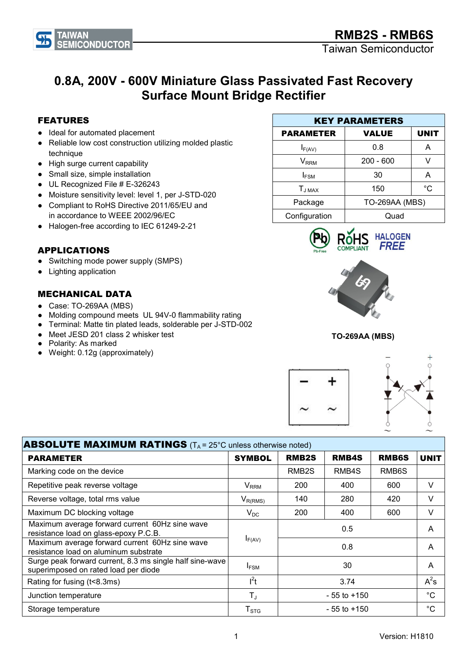Taiwan Semiconductor

## 0.8A, 200V - 600V Miniature Glass Passivated Fast Recovery Surface Mount Bridge Rectifier

## FEATURES

- Ideal for automated placement
- Reliable low cost construction utilizing molded plastic technique
- High surge current capability
- Small size, simple installation
- UL Recognized File # E-326243
- Moisture sensitivity level: level 1, per J-STD-020
- Compliant to RoHS Directive 2011/65/EU and in accordance to WEEE 2002/96/EC
- Halogen-free according to IEC 61249-2-21

## APPLICATIONS

- Switching mode power supply (SMPS)
- Lighting application

## MECHANICAL DATA

- Case: TO-269AA (MBS)
- Molding compound meets UL 94V-0 flammability rating
- Terminal: Matte tin plated leads, solderable per J-STD-002
- Meet JESD 201 class 2 whisker test
- Polarity: As marked
- Weight: 0.12g (approximately)









| <b>ABSOLUTE MAXIMUM RATINGS</b> ( $T_A$ = 25°C unless otherwise noted)                           |                        |                    |                 |                    |             |
|--------------------------------------------------------------------------------------------------|------------------------|--------------------|-----------------|--------------------|-------------|
| <b>PARAMETER</b>                                                                                 | <b>SYMBOL</b>          | <b>RMB2S</b>       | <b>RMB4S</b>    | RMB6S              | <b>UNIT</b> |
| Marking code on the device                                                                       |                        | RMB <sub>2</sub> S | RMB4S           | RMB <sub>6</sub> S |             |
| Repetitive peak reverse voltage                                                                  | <b>V<sub>RRM</sub></b> | 200                | 400             | 600                | $\vee$      |
| Reverse voltage, total rms value                                                                 | $V_{R(RMS)}$           | 140                | 280             | 420                | V           |
| Maximum DC blocking voltage                                                                      | $V_{DC}$               | 200                | 400             | 600                | V           |
| Maximum average forward current 60Hz sine wave<br>resistance load on glass-epoxy P.C.B.          |                        |                    | 0.5             |                    | A           |
| Maximum average forward current 60Hz sine wave<br>resistance load on aluminum substrate          | $I_{F(AV)}$            |                    | 0.8             |                    | A           |
| Surge peak forward current, 8.3 ms single half sine-wave<br>superimposed on rated load per diode | <b>IFSM</b>            |                    | 30              |                    | A           |
| Rating for fusing (t<8.3ms)                                                                      | $l^2t$                 |                    | 3.74            |                    | $A^2s$      |
| Junction temperature                                                                             | $T_{J}$                |                    | $-55$ to $+150$ |                    | $^{\circ}C$ |
| Storage temperature                                                                              | T <sub>STG</sub>       |                    | $-55$ to $+150$ |                    | $^{\circ}C$ |





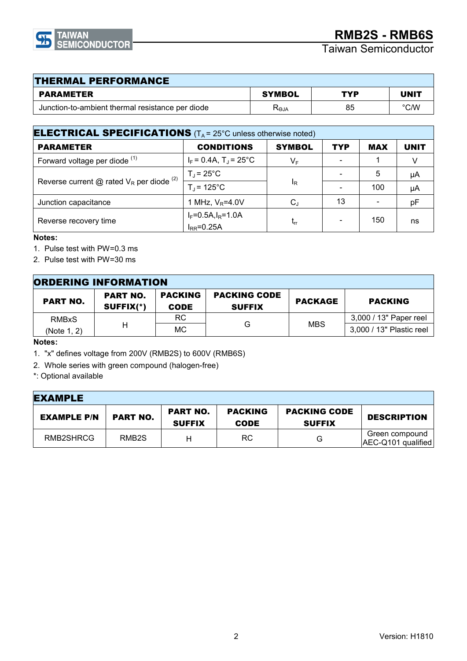

| <b>THERMAL PERFORMANCE</b>                       |                                   |     |               |  |  |
|--------------------------------------------------|-----------------------------------|-----|---------------|--|--|
| <b>PARAMETER</b>                                 | <b>SYMBOL</b>                     | TYP | <b>UNIT</b>   |  |  |
| Junction-to-ambient thermal resistance per diode | $\mathsf{R}_{\Theta \mathsf{JA}}$ | 85  | $\degree$ C/W |  |  |

| <b>ELECTRICAL SPECIFICATIONS</b> ( $T_A$ = 25°C unless otherwise noted) |                                                   |               |            |            |             |
|-------------------------------------------------------------------------|---------------------------------------------------|---------------|------------|------------|-------------|
| <b>PARAMETER</b>                                                        | <b>CONDITIONS</b>                                 | <b>SYMBOL</b> | <b>TYP</b> | <b>MAX</b> | <b>UNIT</b> |
| Forward voltage per diode <sup>(1)</sup>                                | $I_F = 0.4A$ , T <sub>J</sub> = 25 <sup>°</sup> C | $V_F$         |            |            |             |
| Reverse current $@$ rated $V_R$ per diode $(2)$                         | $T_J = 25^{\circ}C$                               |               |            | 5          | μA          |
|                                                                         | $T_d$ = 125°C                                     | $I_R$         |            | 100        | μA          |
| Junction capacitance                                                    | 1 MHz, $V_R = 4.0V$                               | $C_{J}$       | 13         |            | рF          |
| Reverse recovery time                                                   | $I_F = 0.5A, I_R = 1.0A$<br>$I_{RR} = 0.25A$      | $t_{rr}$      |            | 150        | ns          |
|                                                                         |                                                   |               |            |            |             |

#### Notes:

1. Pulse test with PW=0.3 ms

2. Pulse test with PW=30 ms

| <b>ORDERING INFORMATION</b> |                                |                               |                                      |            |                          |
|-----------------------------|--------------------------------|-------------------------------|--------------------------------------|------------|--------------------------|
| <b>PART NO.</b>             | <b>PART NO.</b><br>$SUFFIX(*)$ | <b>PACKING</b><br><b>CODE</b> | <b>PACKING CODE</b><br><b>SUFFIX</b> | PACKAGE    | <b>PACKING</b>           |
| <b>RMBxS</b>                |                                | RC.                           | G<br>МC                              |            | 3,000 / 13" Paper reel   |
| (Note 1, 2)                 |                                |                               |                                      | <b>MBS</b> | 3,000 / 13" Plastic reel |

Notes:

- 1. "x" defines voltage from 200V (RMB2S) to 600V (RMB6S)
- 2. Whole series with green compound (halogen-free)

\*: Optional available

| <b>EXAMPLE</b>     |                    |                                  |                               |                                      |                                      |
|--------------------|--------------------|----------------------------------|-------------------------------|--------------------------------------|--------------------------------------|
| <b>EXAMPLE P/N</b> | <b>PART NO.</b>    | <b>PART NO.</b><br><b>SUFFIX</b> | <b>PACKING</b><br><b>CODE</b> | <b>PACKING CODE</b><br><b>SUFFIX</b> | <b>DESCRIPTION</b>                   |
| RMB2SHRCG          | RMB <sub>2</sub> S |                                  | RC.                           | G                                    | Green compound<br>AEC-Q101 qualified |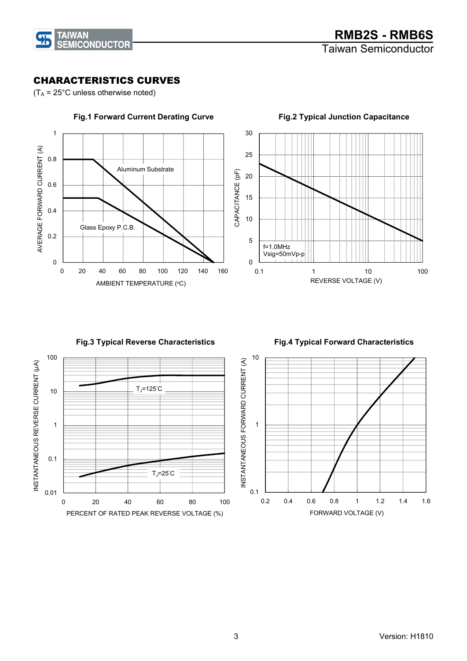

## CHARACTERISTICS CURVES

 $(T_A = 25^{\circ}$ C unless otherwise noted)



 $\overline{0}$ 5 10 15 20 25 30 0.1 1 10 100 REVERSE VOLTAGE (V) f=1.0MHz Vsig=50mVp-p

Fig.3 Typical Reverse Characteristics

 $T_J$ =125 $°C$ 

PERCENT OF RATED PEAK REVERSE VOLTAGE (%)

0 20 40 60 80 100

 $T_J = 25^\circ C$ 

0.01

 $0.1$ 

1

INSTANTANEOUS REVERSE CURRENT (μA)

INSTANTANEOUS REVERSE CURRENT (µA)

10

100





Fig.2 Typical Junction Capacitance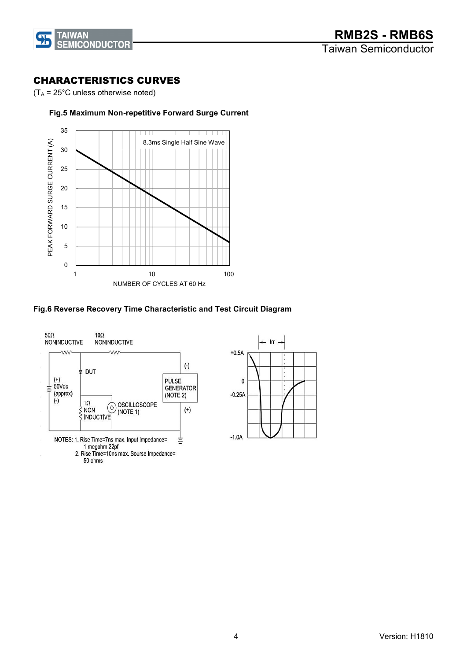

### CHARACTERISTICS CURVES

 $(T_A = 25^{\circ}$ C unless otherwise noted)

#### Fig.5 Maximum Non-repetitive Forward Surge Current



#### Fig.6 Reverse Recovery Time Characteristic and Test Circuit Diagram



50 ohms

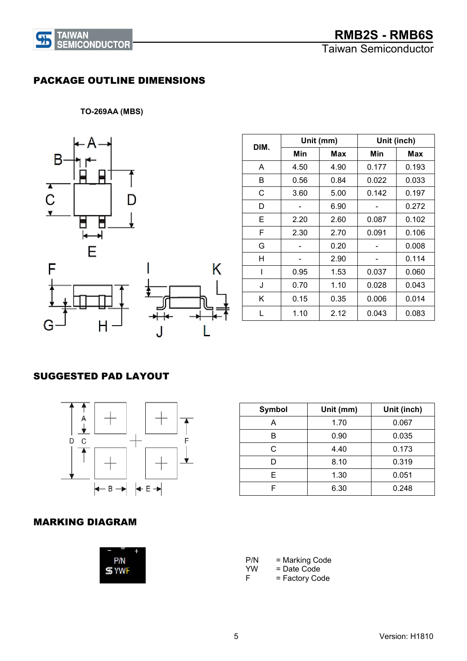

Taiwan Semiconductor

## PACKAGE OUTLINE DIMENSIONS

TO-269AA (MBS)



|      | Unit (mm) |      | Unit (inch) |       |
|------|-----------|------|-------------|-------|
| DIM. | Min       | Max  | Min         | Max   |
| A    | 4.50      | 4.90 | 0.177       | 0.193 |
| В    | 0.56      | 0.84 | 0.022       | 0.033 |
| С    | 3.60      | 5.00 | 0.142       | 0.197 |
| D    |           | 6.90 |             | 0.272 |
| Е    | 2.20      | 2.60 | 0.087       | 0.102 |
| F    | 2.30      | 2.70 | 0.091       | 0.106 |
| G    |           | 0.20 |             | 0.008 |
| н    |           | 2.90 |             | 0.114 |
| ı    | 0.95      | 1.53 | 0.037       | 0.060 |
| J    | 0.70      | 1.10 | 0.028       | 0.043 |
| Κ    | 0.15      | 0.35 | 0.006       | 0.014 |
|      | 1.10      | 2.12 | 0.043       | 0.083 |

## SUGGESTED PAD LAYOUT



| Symbol | Unit (mm) | Unit (inch) |
|--------|-----------|-------------|
|        | 1.70      | 0.067       |
| в      | 0.90      | 0.035       |
| C      | 4.40      | 0.173       |
|        | 8.10      | 0.319       |
| F      | 1.30      | 0.051       |
|        | 6.30      | 0.248       |

## MARKING DIAGRAM

| P/N        |  |
|------------|--|
| <b>YWF</b> |  |
|            |  |

P/N = Marking Code<br>YW = Date Code  $YW = Date Code$ <br>F = Factory Co = Factory Code

5 Version: H1810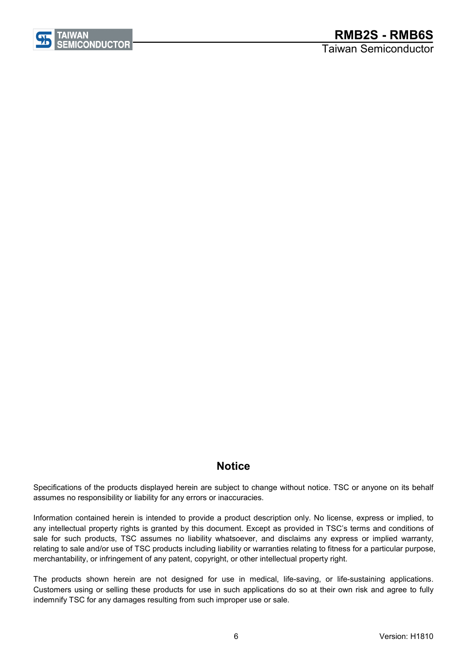

# **RMB2S** - RMB6S

Taiwan Semiconductor

## **Notice**

Specifications of the products displayed herein are subject to change without notice. TSC or anyone on its behalf assumes no responsibility or liability for any errors or inaccuracies.

Information contained herein is intended to provide a product description only. No license, express or implied, to any intellectual property rights is granted by this document. Except as provided in TSC's terms and conditions of sale for such products, TSC assumes no liability whatsoever, and disclaims any express or implied warranty, relating to sale and/or use of TSC products including liability or warranties relating to fitness for a particular purpose, merchantability, or infringement of any patent, copyright, or other intellectual property right.

The products shown herein are not designed for use in medical, life-saving, or life-sustaining applications. Customers using or selling these products for use in such applications do so at their own risk and agree to fully indemnify TSC for any damages resulting from such improper use or sale.